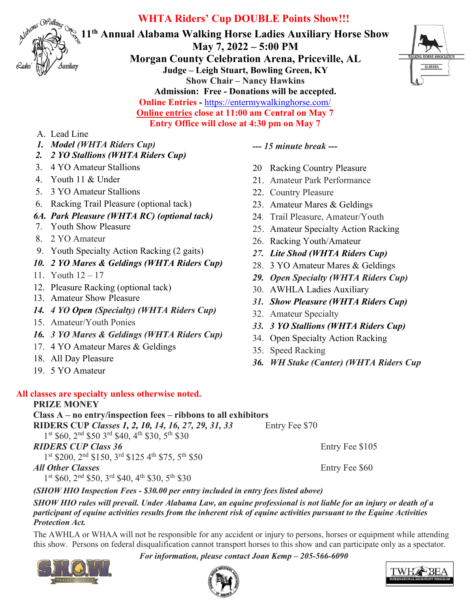

# **WHTA Riders' Cup DOUBLE Points Show!!!**

**11th Annual Alabama Walking Horse Ladies Auxiliary Horse Show May 7, 2022 – 5:00 PM Morgan County Celebration Arena, Priceville, AL Judge – Leigh Stuart, Bowling Green, KY Show Chair – Nancy Hawkins Admission: Free - Donations will be accepted. Online Entries -** <https://entermywalkinghorse.com/> **Online entries close at 11:00 am Central on May 7 Entry Office will close at 4:30 pm on May 7**



#### A. Lead Line

- *1. Model (WHTA Riders Cup)*
- *2. 2 YO Stallions (WHTA Riders Cup)*
- 3. 4 YO Amateur Stallions
- 4. Youth 11 & Under
- 5. 3 YO Amateur Stallions
- 6. Racking Trail Pleasure (optional tack)

### *6A. Park Pleasure (WHTA RC) (optional tack)*

- 7. Youth Show Pleasure
- 8. 2 YO Amateur
- 9. Youth Specialty Action Racking (2 gaits)
- *10. 2 YO Mares & Geldings (WHTA Riders Cup)*
- 11. Youth 12 17
- 12. Pleasure Racking (optional tack)
- 13. Amateur Show Pleasure
- *14. 4 YO Open (Specialty) (WHTA Riders Cup)*
- 15. Amateur/Youth Ponies
- *16. 3 YO Mares & Geldings (WHTA Riders Cup)*
- 17. 4 YO Amateur Mares & Geldings
- 18. All Day Pleasure
- 19. 5 YO Amateur

## **All classes are specialty unless otherwise noted.**

### **PRIZE MONEY**

**Class A – no entry/inspection fees – ribbons to all exhibitors RIDERS CUP** *Classes 1, 2, 10, 14, 16, 27, 29, 31, 33* Entry Fee \$70

 $1<sup>st</sup>$  \$60,  $2<sup>nd</sup>$  \$50  $3<sup>rd</sup>$  \$40,  $4<sup>th</sup>$  \$30,  $5<sup>th</sup>$  \$30

**RIDERS CUP Class 36** Entry Fee \$105

1st \$200, 2<sup>nd</sup> \$150, 3<sup>rd</sup> \$125 4<sup>th</sup> \$75, 5<sup>th</sup> \$50

## *All Other Classes* Entry Fee \$60

 $1<sup>st</sup>$  \$60,  $2<sup>nd</sup>$  \$50,  $3<sup>rd</sup>$  \$40,  $4<sup>th</sup>$  \$30,  $5<sup>th</sup>$  \$30

*--- 15 minute break ---*

- 20 Racking Country Pleasure
- 21. Amateur Park Performance
- 22. Country Pleasure
- 23. Amateur Mares & Geldings
- 24*.* Trail Pleasure, Amateur/Youth
- 25. Amateur Specialty Action Racking
- 26. Racking Youth/Amateur
- *27. Lite Shod (WHTA Riders Cup)*
- 28. 3 YO Amateur Mares & Geldings
- *29. Open Specialty (WHTA Riders Cup)*
- 30. AWHLA Ladies Auxiliary
- *31. Show Pleasure (WHTA Riders Cup)*
- 32. Amateur Specialty
- *33. 3 YO Stallions (WHTA Riders Cup)*
- 34. Open Specialty Action Racking
- 35. Speed Racking
- *36. WH Stake (Canter) (WHTA Riders Cup*

## *(SHOW HIO Inspection Fees - \$30.00 per entry included in entry fees listed above)*

*SHOW HIO rules will prevail. Under Alabama Law, an equine professional is not liable for an injury or death of a participant of equine activities results from the inherent risk of equine activities pursuant to the Equine Activities Protection Act.*

The AWHLA or WHAA will not be responsible for any accident or injury to persons, horses or equipment while attending this show. Persons on federal disqualification cannot transport horses to this show and can participate only as a spectator.

*For information, please contact Joan Kemp – 205-566-6090*